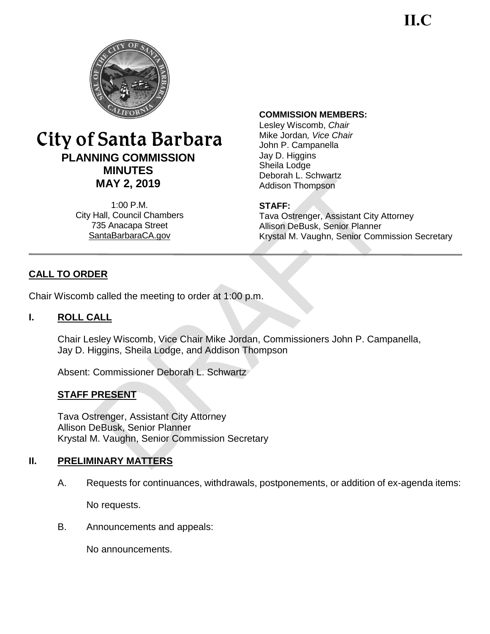**II.C**



# City of Santa Barbara **PLANNING COMMISSION MINUTES MAY 2, 2019**

1:00 P.M. City Hall, Council Chambers 735 Anacapa Street SantaBarbaraCA.gov

#### **COMMISSION MEMBERS:**

Lesley Wiscomb, *Chair* Mike Jordan*, Vice Chair*  John P. Campanella Jay D. Higgins Sheila Lodge Deborah L. Schwartz Addison Thompson

#### **STAFF:**

Tava Ostrenger, Assistant City Attorney Allison DeBusk, Senior Planner Krystal M. Vaughn, Senior Commission Secretary

# **CALL TO ORDER**

Chair Wiscomb called the meeting to order at 1:00 p.m.

#### **I. ROLL CALL**

Chair Lesley Wiscomb, Vice Chair Mike Jordan, Commissioners John P. Campanella, Jay D. Higgins, Sheila Lodge, and Addison Thompson

Absent: Commissioner Deborah L. Schwartz

#### **STAFF PRESENT**

Tava Ostrenger, Assistant City Attorney Allison DeBusk, Senior Planner Krystal M. Vaughn, Senior Commission Secretary

#### **II. PRELIMINARY MATTERS**

A. Requests for continuances, withdrawals, postponements, or addition of ex-agenda items:

No requests.

B. Announcements and appeals:

No announcements.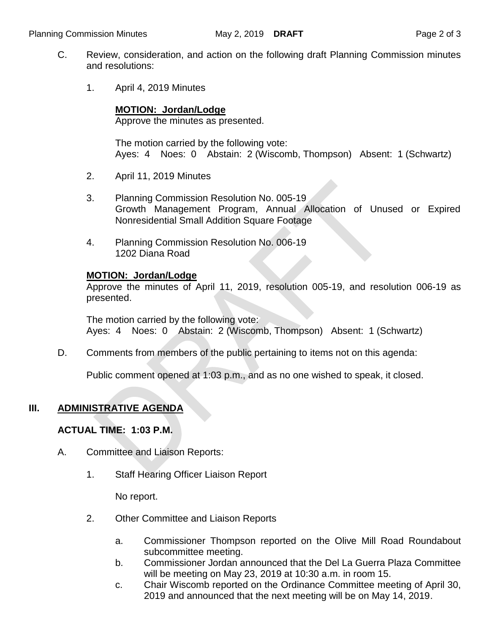- C. Review, consideration, and action on the following draft Planning Commission minutes and resolutions:
	- 1. April 4, 2019 Minutes

#### **MOTION: Jordan/Lodge**

Approve the minutes as presented.

The motion carried by the following vote: Ayes: 4 Noes: 0 Abstain: 2 (Wiscomb, Thompson) Absent: 1 (Schwartz)

- 2. April 11, 2019 Minutes
- 3. Planning Commission Resolution No. 005-19 Growth Management Program, Annual Allocation of Unused or Expired Nonresidential Small Addition Square Footage
- 4. Planning Commission Resolution No. 006-19 1202 Diana Road

### **MOTION: Jordan/Lodge**

Approve the minutes of April 11, 2019, resolution 005-19, and resolution 006-19 as presented.

The motion carried by the following vote: Ayes: 4 Noes: 0 Abstain: 2 (Wiscomb, Thompson) Absent: 1 (Schwartz)

D. Comments from members of the public pertaining to items not on this agenda:

Public comment opened at 1:03 p.m., and as no one wished to speak, it closed.

## **III. ADMINISTRATIVE AGENDA**

#### **ACTUAL TIME: 1:03 P.M.**

- A. Committee and Liaison Reports:
	- 1. Staff Hearing Officer Liaison Report

No report.

- 2. Other Committee and Liaison Reports
	- a. Commissioner Thompson reported on the Olive Mill Road Roundabout subcommittee meeting.
	- b. Commissioner Jordan announced that the Del La Guerra Plaza Committee will be meeting on May 23, 2019 at 10:30 a.m. in room 15.
	- c. Chair Wiscomb reported on the Ordinance Committee meeting of April 30, 2019 and announced that the next meeting will be on May 14, 2019.